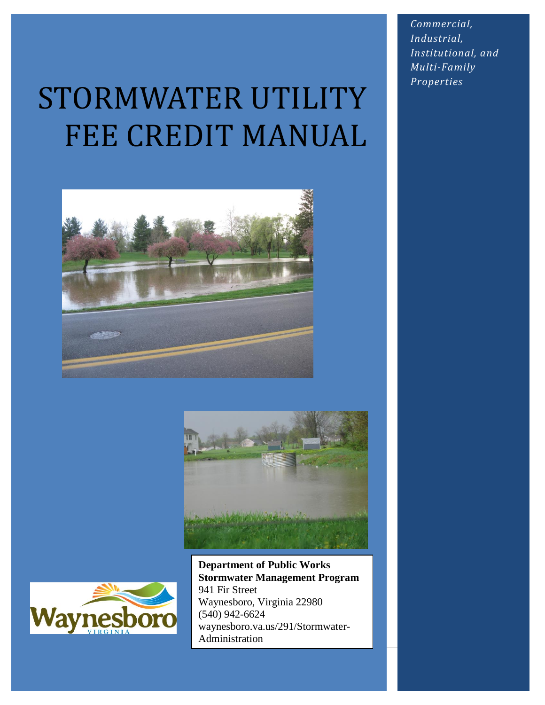# STORMWATER UTILITY FEE CREDIT MANUAL







**Department of Public Works Stormwater Management Program** 941 Fir Street Waynesboro, Virginia 22980 (540) 942-6624 waynesboro.va.us/291/Stormwater-Administration

*Commercial, Industrial, Institutional, and Multi-Family Properties*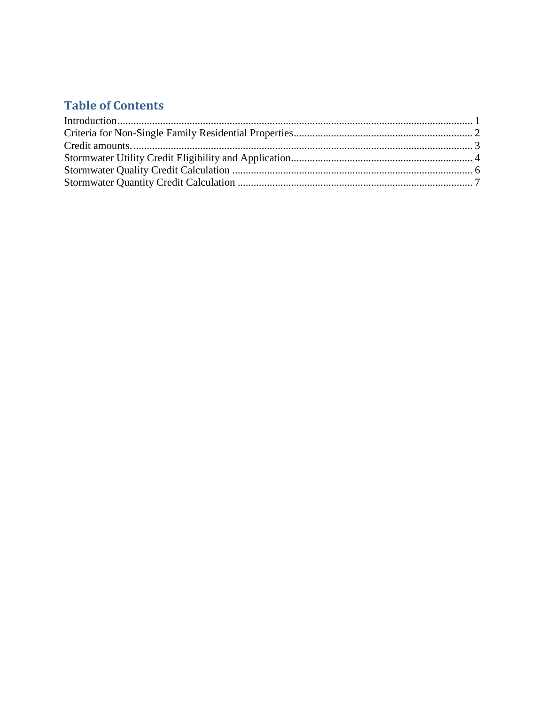#### **Table of Contents**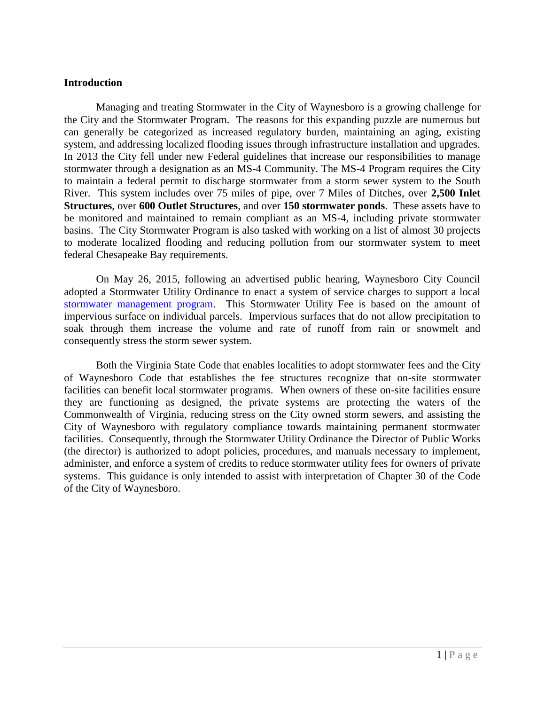#### <span id="page-2-0"></span>**Introduction**

Managing and treating Stormwater in the City of Waynesboro is a growing challenge for the City and the Stormwater Program. The reasons for this expanding puzzle are numerous but can generally be categorized as increased regulatory burden, maintaining an aging, existing system, and addressing localized flooding issues through infrastructure installation and upgrades. In 2013 the City fell under new Federal guidelines that increase our responsibilities to manage stormwater through a designation as an MS-4 Community. The MS-4 Program requires the City to maintain a federal permit to discharge stormwater from a storm sewer system to the South River. This system includes over 75 miles of pipe, over 7 Miles of Ditches, over **2,500 Inlet Structures**, over **600 Outlet Structures**, and over **150 stormwater ponds**. These assets have to be monitored and maintained to remain compliant as an MS-4, including private stormwater basins. The City Stormwater Program is also tasked with working on a list of almost 30 projects to moderate localized flooding and reducing pollution from our stormwater system to meet federal Chesapeake Bay requirements.

On May 26, 2015, following an advertised public hearing, Waynesboro City Council adopted a Stormwater Utility Ordinance to enact a system of service charges to support a local [stormwater management program.](http://www.waynesboro.va.us/291/Stormwater-Administration) This Stormwater Utility Fee is based on the amount of impervious surface on individual parcels. Impervious surfaces that do not allow precipitation to soak through them increase the volume and rate of runoff from rain or snowmelt and consequently stress the storm sewer system.

Both the Virginia State Code that enables localities to adopt stormwater fees and the City of Waynesboro Code that establishes the fee structures recognize that on-site stormwater facilities can benefit local stormwater programs. When owners of these on-site facilities ensure they are functioning as designed, the private systems are protecting the waters of the Commonwealth of Virginia, reducing stress on the City owned storm sewers, and assisting the City of Waynesboro with regulatory compliance towards maintaining permanent stormwater facilities. Consequently, through the Stormwater Utility Ordinance the Director of Public Works (the director) is authorized to adopt policies, procedures, and manuals necessary to implement, administer, and enforce a system of credits to reduce stormwater utility fees for owners of private systems. This guidance is only intended to assist with interpretation of Chapter 30 of the Code of the City of Waynesboro.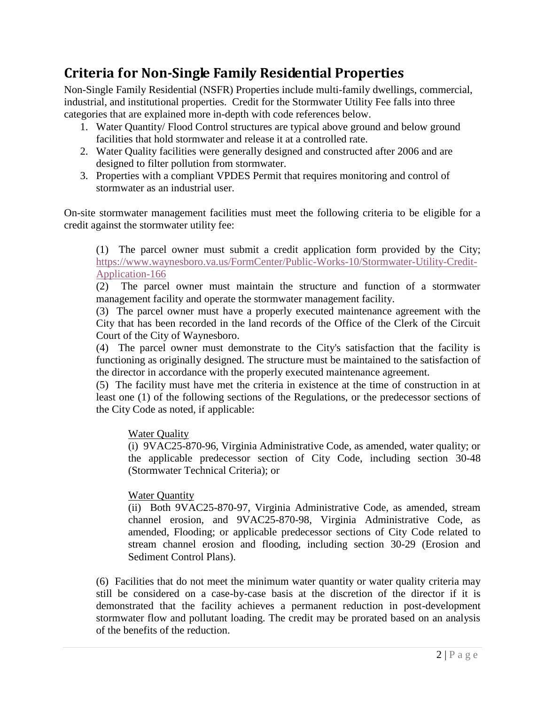## <span id="page-3-0"></span>**Criteria for Non-Single Family Residential Properties**

Non-Single Family Residential (NSFR) Properties include multi-family dwellings, commercial, industrial, and institutional properties. Credit for the Stormwater Utility Fee falls into three categories that are explained more in-depth with code references below.

- 1. Water Quantity/ Flood Control structures are typical above ground and below ground facilities that hold stormwater and release it at a controlled rate.
- 2. Water Quality facilities were generally designed and constructed after 2006 and are designed to filter pollution from stormwater.
- 3. Properties with a compliant VPDES Permit that requires monitoring and control of stormwater as an industrial user.

On-site stormwater management facilities must meet the following criteria to be eligible for a credit against the stormwater utility fee:

(1) The parcel owner must submit a credit application form provided by the City; [https://www.waynesboro.va.us/FormCenter/Public-Works-10/Stormwater-Utility-Credit-](https://www.waynesboro.va.us/FormCenter/Public-Works-10/Stormwater-Utility-Credit-Application-166)[Application-166](https://www.waynesboro.va.us/FormCenter/Public-Works-10/Stormwater-Utility-Credit-Application-166)

(2) The parcel owner must maintain the structure and function of a stormwater management facility and operate the stormwater management facility.

(3) The parcel owner must have a properly executed maintenance agreement with the City that has been recorded in the land records of the Office of the Clerk of the Circuit Court of the City of Waynesboro.

(4) The parcel owner must demonstrate to the City's satisfaction that the facility is functioning as originally designed. The structure must be maintained to the satisfaction of the director in accordance with the properly executed maintenance agreement.

(5) The facility must have met the criteria in existence at the time of construction in at least one (1) of the following sections of the Regulations, or the predecessor sections of the City Code as noted, if applicable:

Water Quality

(i) 9VAC25-870-96, Virginia Administrative Code, as amended, water quality; or the applicable predecessor section of City Code, including section 30-48 (Stormwater Technical Criteria); or

Water Quantity

(ii) Both 9VAC25-870-97, Virginia Administrative Code, as amended, stream channel erosion, and 9VAC25-870-98, Virginia Administrative Code, as amended, Flooding; or applicable predecessor sections of City Code related to stream channel erosion and flooding, including section 30-29 (Erosion and Sediment Control Plans).

(6) Facilities that do not meet the minimum water quantity or water quality criteria may still be considered on a case-by-case basis at the discretion of the director if it is demonstrated that the facility achieves a permanent reduction in post-development stormwater flow and pollutant loading. The credit may be prorated based on an analysis of the benefits of the reduction.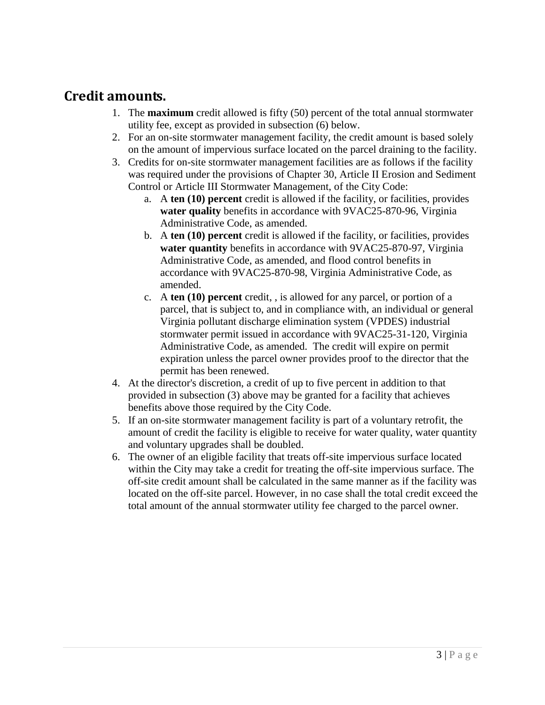### <span id="page-4-0"></span>**Credit amounts.**

- 1. The **maximum** credit allowed is fifty (50) percent of the total annual stormwater utility fee, except as provided in subsection (6) below.
- 2. For an on-site stormwater management facility, the credit amount is based solely on the amount of impervious surface located on the parcel draining to the facility.
- 3. Credits for on-site stormwater management facilities are as follows if the facility was required under the provisions of Chapter 30, Article II Erosion and Sediment Control or Article III Stormwater Management, of the City Code:
	- a. A **ten (10) percent** credit is allowed if the facility, or facilities, provides **water quality** benefits in accordance with 9VAC25-870-96, Virginia Administrative Code, as amended.
	- b. A **ten (10) percent** credit is allowed if the facility, or facilities, provides **water quantity** benefits in accordance with 9VAC25-870-97, Virginia Administrative Code, as amended, and flood control benefits in accordance with 9VAC25-870-98, Virginia Administrative Code, as amended.
	- c. A **ten (10) percent** credit, , is allowed for any parcel, or portion of a parcel, that is subject to, and in compliance with, an individual or general Virginia pollutant discharge elimination system (VPDES) industrial stormwater permit issued in accordance with 9VAC25-31-120, Virginia Administrative Code, as amended. The credit will expire on permit expiration unless the parcel owner provides proof to the director that the permit has been renewed.
- 4. At the director's discretion, a credit of up to five percent in addition to that provided in subsection (3) above may be granted for a facility that achieves benefits above those required by the City Code.
- 5. If an on-site stormwater management facility is part of a voluntary retrofit, the amount of credit the facility is eligible to receive for water quality, water quantity and voluntary upgrades shall be doubled.
- 6. The owner of an eligible facility that treats off-site impervious surface located within the City may take a credit for treating the off-site impervious surface. The off-site credit amount shall be calculated in the same manner as if the facility was located on the off-site parcel. However, in no case shall the total credit exceed the total amount of the annual stormwater utility fee charged to the parcel owner.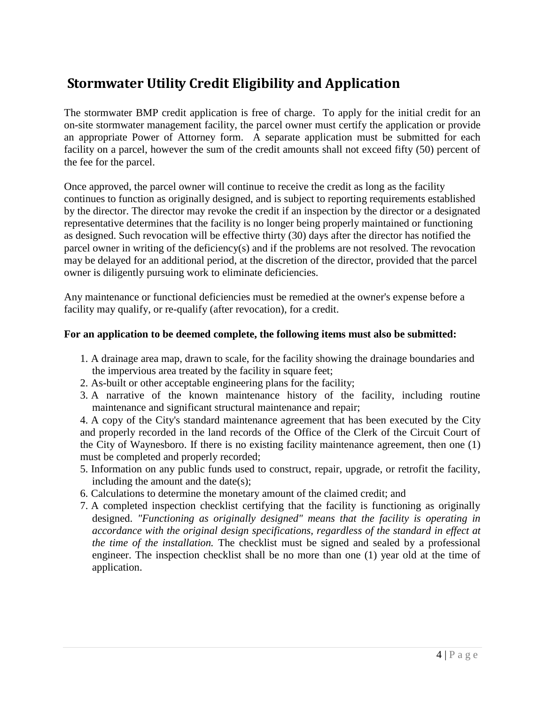# <span id="page-5-0"></span>**Stormwater Utility Credit Eligibility and Application**

The stormwater BMP credit application is free of charge. To apply for the initial credit for an on-site stormwater management facility, the parcel owner must certify the application or provide an appropriate Power of Attorney form. A separate application must be submitted for each facility on a parcel, however the sum of the credit amounts shall not exceed fifty (50) percent of the fee for the parcel.

Once approved, the parcel owner will continue to receive the credit as long as the facility continues to function as originally designed, and is subject to reporting requirements established by the director. The director may revoke the credit if an inspection by the director or a designated representative determines that the facility is no longer being properly maintained or functioning as designed. Such revocation will be effective thirty (30) days after the director has notified the parcel owner in writing of the deficiency(s) and if the problems are not resolved. The revocation may be delayed for an additional period, at the discretion of the director, provided that the parcel owner is diligently pursuing work to eliminate deficiencies.

Any maintenance or functional deficiencies must be remedied at the owner's expense before a facility may qualify, or re-qualify (after revocation), for a credit.

#### **For an application to be deemed complete, the following items must also be submitted:**

- 1. A drainage area map, drawn to scale, for the facility showing the drainage boundaries and the impervious area treated by the facility in square feet;
- 2. As-built or other acceptable engineering plans for the facility;
- 3. A narrative of the known maintenance history of the facility, including routine maintenance and significant structural maintenance and repair;

4. A copy of the City's standard maintenance agreement that has been executed by the City and properly recorded in the land records of the Office of the Clerk of the Circuit Court of the City of Waynesboro. If there is no existing facility maintenance agreement, then one (1) must be completed and properly recorded;

- 5. Information on any public funds used to construct, repair, upgrade, or retrofit the facility, including the amount and the date(s);
- 6. Calculations to determine the monetary amount of the claimed credit; and
- 7. A completed inspection checklist certifying that the facility is functioning as originally designed. *"Functioning as originally designed" means that the facility is operating in accordance with the original design specifications, regardless of the standard in effect at the time of the installation.* The checklist must be signed and sealed by a professional engineer. The inspection checklist shall be no more than one (1) year old at the time of application.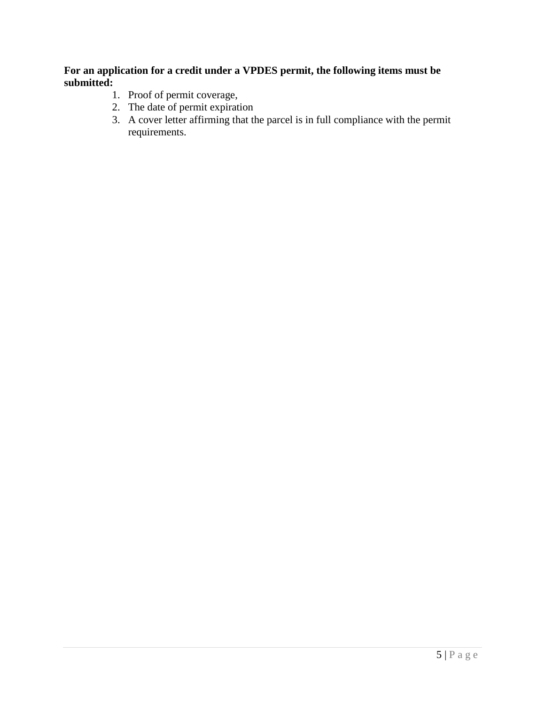#### **For an application for a credit under a VPDES permit, the following items must be submitted:**

- 1. Proof of permit coverage,
- 2. The date of permit expiration
- 3. A cover letter affirming that the parcel is in full compliance with the permit requirements.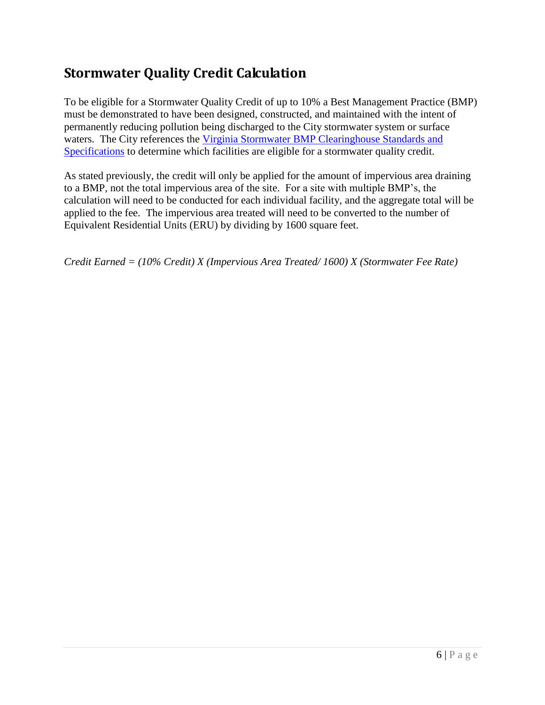## <span id="page-7-0"></span>**Stormwater Quality Credit Calculation**

To be eligible for a Stormwater Quality Credit of up to 10% a Best Management Practice (BMP) must be demonstrated to have been designed, constructed, and maintained with the intent of permanently reducing pollution being discharged to the City stormwater system or surface waters. The City references the Virginia Stormwater BMP Clearinghouse Standards and [Specifications](https://swbmp.vwrrc.vt.edu/) to determine which facilities are eligible for a stormwater quality credit.

As stated previously, the credit will only be applied for the amount of impervious area draining to a BMP, not the total impervious area of the site. For a site with multiple BMP's, the calculation will need to be conducted for each individual facility, and the aggregate total will be applied to the fee. The impervious area treated will need to be converted to the number of Equivalent Residential Units (ERU) by dividing by 1600 square feet.

*Credit Earned = (10% Credit) X (Impervious Area Treated/ 1600) X (Stormwater Fee Rate)*